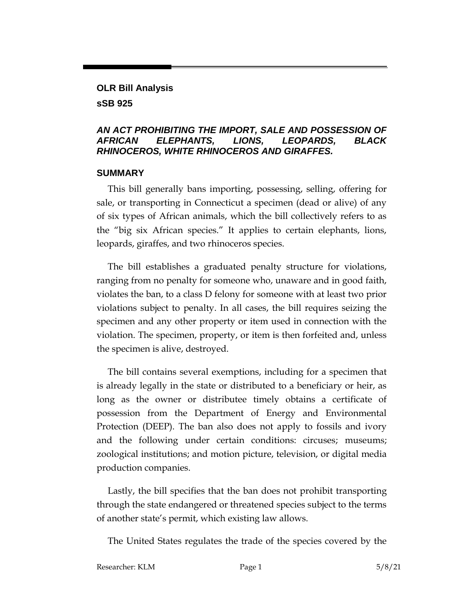# **OLR Bill Analysis sSB 925**

### *AN ACT PROHIBITING THE IMPORT, SALE AND POSSESSION OF AFRICAN ELEPHANTS, LIONS, LEOPARDS, BLACK RHINOCEROS, WHITE RHINOCEROS AND GIRAFFES.*

#### **SUMMARY**

This bill generally bans importing, possessing, selling, offering for sale, or transporting in Connecticut a specimen (dead or alive) of any of six types of African animals, which the bill collectively refers to as the "big six African species." It applies to certain elephants, lions, leopards, giraffes, and two rhinoceros species.

The bill establishes a graduated penalty structure for violations, ranging from no penalty for someone who, unaware and in good faith, violates the ban, to a class D felony for someone with at least two prior violations subject to penalty. In all cases, the bill requires seizing the specimen and any other property or item used in connection with the violation. The specimen, property, or item is then forfeited and, unless the specimen is alive, destroyed.

The bill contains several exemptions, including for a specimen that is already legally in the state or distributed to a beneficiary or heir, as long as the owner or distributee timely obtains a certificate of possession from the Department of Energy and Environmental Protection (DEEP). The ban also does not apply to fossils and ivory and the following under certain conditions: circuses; museums; zoological institutions; and motion picture, television, or digital media production companies.

Lastly, the bill specifies that the ban does not prohibit transporting through the state endangered or threatened species subject to the terms of another state's permit, which existing law allows.

The United States regulates the trade of the species covered by the

Researcher: KLM Page 1 5/8/21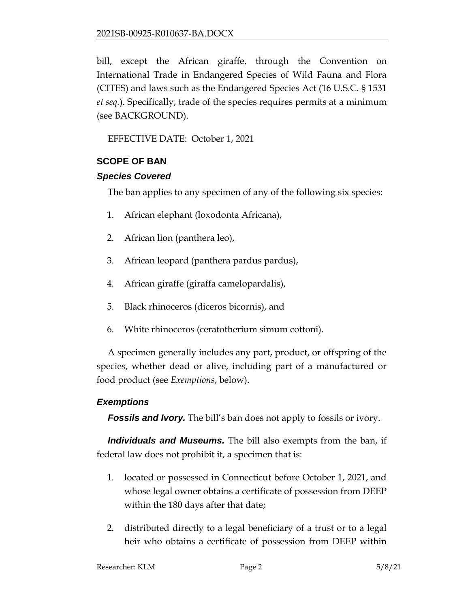bill, except the African giraffe, through the Convention on International Trade in Endangered Species of Wild Fauna and Flora (CITES) and laws such as the Endangered Species Act (16 U.S.C. § 1531 *et seq.*). Specifically, trade of the species requires permits at a minimum (see BACKGROUND).

EFFECTIVE DATE: October 1, 2021

## **SCOPE OF BAN**

### *Species Covered*

The ban applies to any specimen of any of the following six species:

- 1. African elephant (loxodonta Africana),
- 2. African lion (panthera leo),
- 3. African leopard (panthera pardus pardus),
- 4. African giraffe (giraffa camelopardalis),
- 5. Black rhinoceros (diceros bicornis), and
- 6. White rhinoceros (ceratotherium simum cottoni).

A specimen generally includes any part, product, or offspring of the species, whether dead or alive, including part of a manufactured or food product (see *Exemptions*, below).

## *Exemptions*

**Fossils and Ivory.** The bill's ban does not apply to fossils or ivory.

*Individuals and Museums.* The bill also exempts from the ban, if federal law does not prohibit it, a specimen that is:

- 1. located or possessed in Connecticut before October 1, 2021, and whose legal owner obtains a certificate of possession from DEEP within the 180 days after that date;
- 2. distributed directly to a legal beneficiary of a trust or to a legal heir who obtains a certificate of possession from DEEP within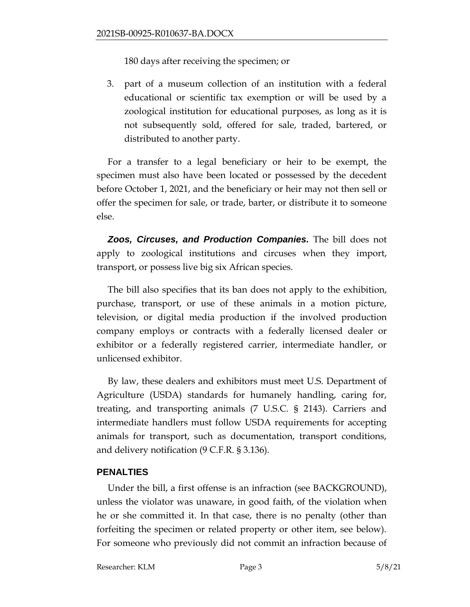180 days after receiving the specimen; or

3. part of a museum collection of an institution with a federal educational or scientific tax exemption or will be used by a zoological institution for educational purposes, as long as it is not subsequently sold, offered for sale, traded, bartered, or distributed to another party.

For a transfer to a legal beneficiary or heir to be exempt, the specimen must also have been located or possessed by the decedent before October 1, 2021, and the beneficiary or heir may not then sell or offer the specimen for sale, or trade, barter, or distribute it to someone else.

*Zoos, Circuses, and Production Companies.* The bill does not apply to zoological institutions and circuses when they import, transport, or possess live big six African species.

The bill also specifies that its ban does not apply to the exhibition, purchase, transport, or use of these animals in a motion picture, television, or digital media production if the involved production company employs or contracts with a federally licensed dealer or exhibitor or a federally registered carrier, intermediate handler, or unlicensed exhibitor.

By law, these dealers and exhibitors must meet U.S. Department of Agriculture (USDA) standards for humanely handling, caring for, treating, and transporting animals (7 U.S.C. § 2143). Carriers and intermediate handlers must follow USDA requirements for accepting animals for transport, such as documentation, transport conditions, and delivery notification (9 C.F.R. § 3.136).

#### **PENALTIES**

Under the bill, a first offense is an infraction (see BACKGROUND), unless the violator was unaware, in good faith, of the violation when he or she committed it. In that case, there is no penalty (other than forfeiting the specimen or related property or other item, see below). For someone who previously did not commit an infraction because of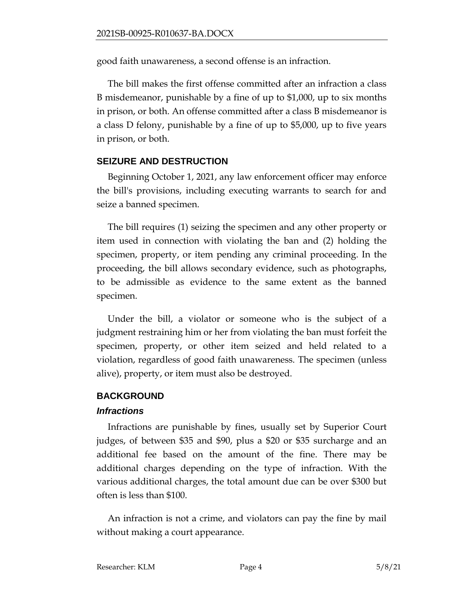good faith unawareness, a second offense is an infraction.

The bill makes the first offense committed after an infraction a class B misdemeanor, punishable by a fine of up to \$1,000, up to six months in prison, or both. An offense committed after a class B misdemeanor is a class D felony, punishable by a fine of up to \$5,000, up to five years in prison, or both.

# **SEIZURE AND DESTRUCTION**

Beginning October 1, 2021, any law enforcement officer may enforce the bill's provisions, including executing warrants to search for and seize a banned specimen.

The bill requires (1) seizing the specimen and any other property or item used in connection with violating the ban and (2) holding the specimen, property, or item pending any criminal proceeding. In the proceeding, the bill allows secondary evidence, such as photographs, to be admissible as evidence to the same extent as the banned specimen.

Under the bill, a violator or someone who is the subject of a judgment restraining him or her from violating the ban must forfeit the specimen, property, or other item seized and held related to a violation, regardless of good faith unawareness. The specimen (unless alive), property, or item must also be destroyed.

# **BACKGROUND**

## *Infractions*

Infractions are punishable by fines, usually set by Superior Court judges, of between \$35 and \$90, plus a \$20 or \$35 surcharge and an additional fee based on the amount of the fine. There may be additional charges depending on the type of infraction. With the various additional charges, the total amount due can be over \$300 but often is less than \$100.

An infraction is not a crime, and violators can pay the fine by mail without making a court appearance.